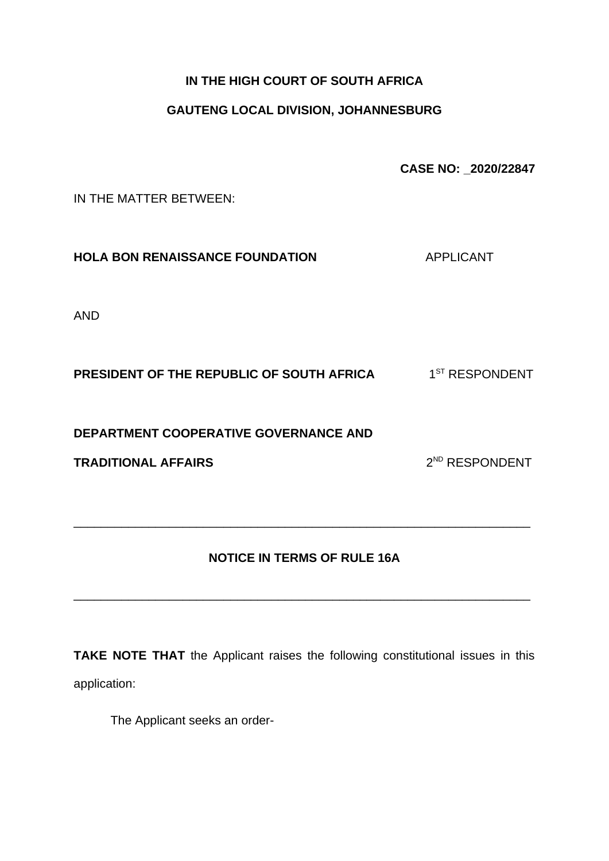## **IN THE HIGH COURT OF SOUTH AFRICA**

## **GAUTENG LOCAL DIVISION, JOHANNESBURG**

**CASE NO: \_2020/22847**

IN THE MATTER BETWEEN:

**HOLA BON RENAISSANCE FOUNDATION APPLICANT** 

AND

**PRESIDENT OF THE REPUBLIC OF SOUTH AFRICA** 1  $1^\mathrm{ST}$  RESPONDENT

**DEPARTMENT COOPERATIVE GOVERNANCE AND** 

**TRADITIONAL AFFAIRS** 2

2<sup>ND</sup> RESPONDENT

## **NOTICE IN TERMS OF RULE 16A**

\_\_\_\_\_\_\_\_\_\_\_\_\_\_\_\_\_\_\_\_\_\_\_\_\_\_\_\_\_\_\_\_\_\_\_\_\_\_\_\_\_\_\_\_\_\_\_\_\_\_\_\_\_\_\_\_\_\_\_\_\_\_\_\_\_\_\_

\_\_\_\_\_\_\_\_\_\_\_\_\_\_\_\_\_\_\_\_\_\_\_\_\_\_\_\_\_\_\_\_\_\_\_\_\_\_\_\_\_\_\_\_\_\_\_\_\_\_\_\_\_\_\_\_\_\_\_\_\_\_\_\_\_\_\_

**TAKE NOTE THAT** the Applicant raises the following constitutional issues in this application:

The Applicant seeks an order-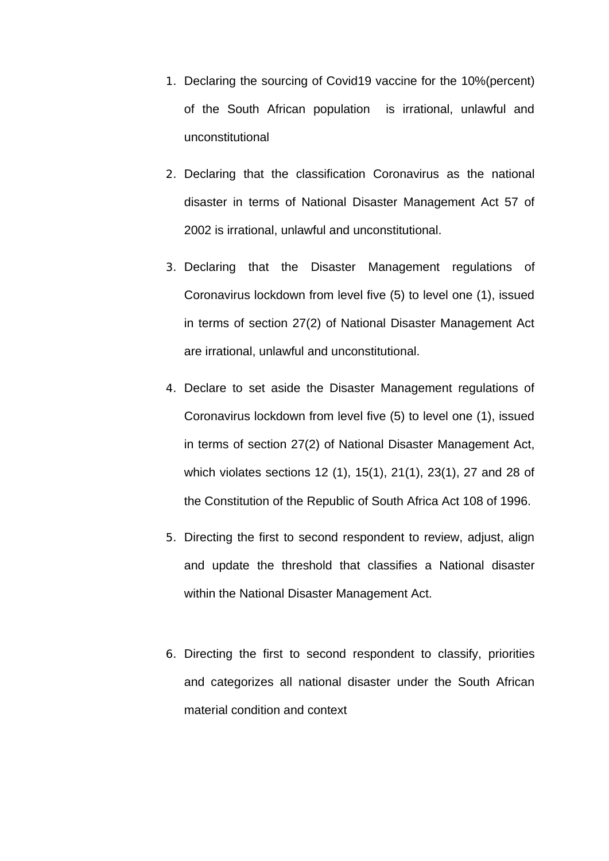- 1. Declaring the sourcing of Covid19 vaccine for the 10%(percent) of the South African population is irrational, unlawful and unconstitutional
- 2. Declaring that the classification Coronavirus as the national disaster in terms of National Disaster Management Act 57 of 2002 is irrational, unlawful and unconstitutional.
- 3. Declaring that the Disaster Management regulations of Coronavirus lockdown from level five (5) to level one (1), issued in terms of section 27(2) of National Disaster Management Act are irrational, unlawful and unconstitutional.
- 4. Declare to set aside the Disaster Management regulations of Coronavirus lockdown from level five (5) to level one (1), issued in terms of section 27(2) of National Disaster Management Act, which violates sections 12 (1), 15(1), 21(1), 23(1), 27 and 28 of the Constitution of the Republic of South Africa Act 108 of 1996.
- 5. Directing the first to second respondent to review, adjust, align and update the threshold that classifies a National disaster within the National Disaster Management Act.
- 6. Directing the first to second respondent to classify, priorities and categorizes all national disaster under the South African material condition and context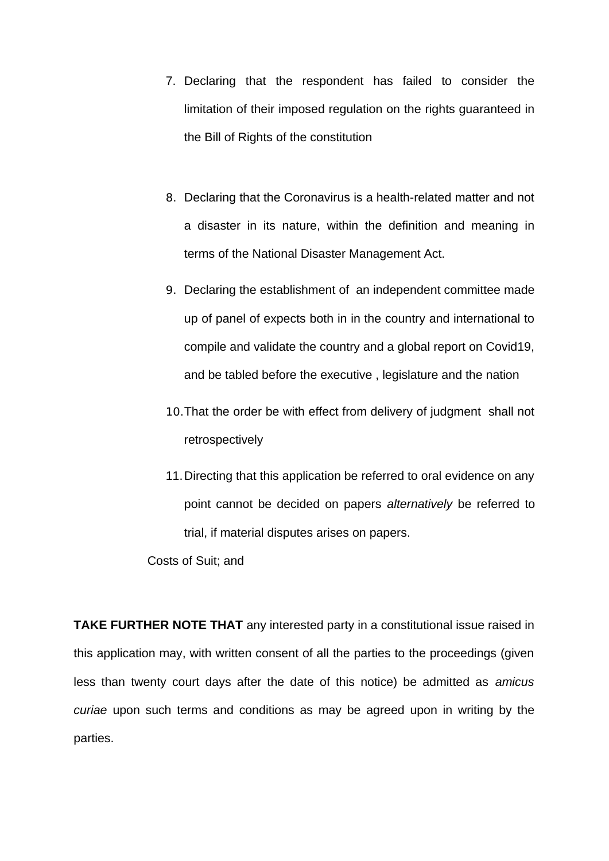- 7. Declaring that the respondent has failed to consider the limitation of their imposed regulation on the rights guaranteed in the Bill of Rights of the constitution
- 8. Declaring that the Coronavirus is a health-related matter and not a disaster in its nature, within the definition and meaning in terms of the National Disaster Management Act.
- 9. Declaring the establishment of an independent committee made up of panel of expects both in in the country and international to compile and validate the country and a global report on Covid19, and be tabled before the executive , legislature and the nation
- 10.That the order be with effect from delivery of judgment shall not retrospectively
- 11.Directing that this application be referred to oral evidence on any point cannot be decided on papers *alternatively* be referred to trial, if material disputes arises on papers.

Costs of Suit; and

**TAKE FURTHER NOTE THAT** any interested party in a constitutional issue raised in this application may, with written consent of all the parties to the proceedings (given less than twenty court days after the date of this notice) be admitted as *amicus curiae* upon such terms and conditions as may be agreed upon in writing by the parties.